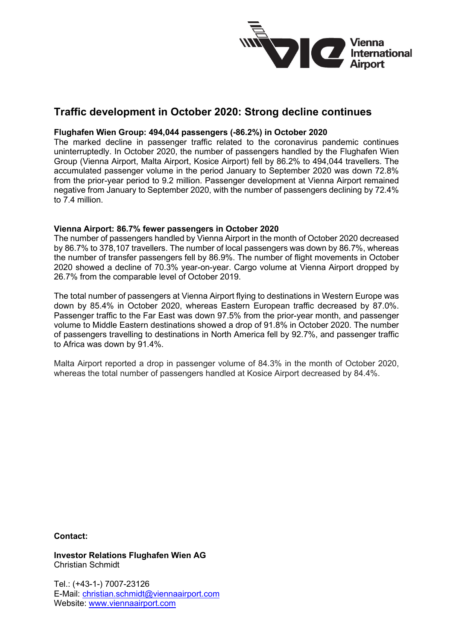

# **Traffic development in October 2020: Strong decline continues**

### **Flughafen Wien Group: 494,044 passengers (-86.2%) in October 2020**

The marked decline in passenger traffic related to the coronavirus pandemic continues uninterruptedly. In October 2020, the number of passengers handled by the Flughafen Wien Group (Vienna Airport, Malta Airport, Kosice Airport) fell by 86.2% to 494,044 travellers. The accumulated passenger volume in the period January to September 2020 was down 72.8% from the prior-year period to 9.2 million. Passenger development at Vienna Airport remained negative from January to September 2020, with the number of passengers declining by 72.4% to 7.4 million.

### **Vienna Airport: 86.7% fewer passengers in October 2020**

The number of passengers handled by Vienna Airport in the month of October 2020 decreased by 86.7% to 378,107 travellers. The number of local passengers was down by 86.7%, whereas the number of transfer passengers fell by 86.9%. The number of flight movements in October 2020 showed a decline of 70.3% year-on-year. Cargo volume at Vienna Airport dropped by 26.7% from the comparable level of October 2019.

The total number of passengers at Vienna Airport flying to destinations in Western Europe was down by 85.4% in October 2020, whereas Eastern European traffic decreased by 87.0%. Passenger traffic to the Far East was down 97.5% from the prior-year month, and passenger volume to Middle Eastern destinations showed a drop of 91.8% in October 2020. The number of passengers travelling to destinations in North America fell by 92.7%, and passenger traffic to Africa was down by 91.4%.

Malta Airport reported a drop in passenger volume of 84.3% in the month of October 2020, whereas the total number of passengers handled at Kosice Airport decreased by 84.4%.

### **Contact:**

**Investor Relations Flughafen Wien AG** Christian Schmidt

Tel.: (+43-1-) 7007-23126 E-Mail: [christian.schmidt@viennaairport.com](mailto:christian.schmidt@viennaairport.com) Website: [www.viennaairport.com](http://www.viennaairport.com/)